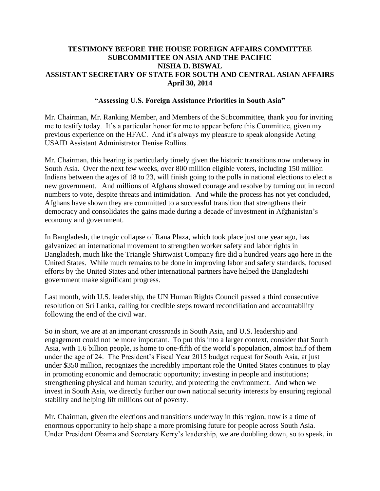### **TESTIMONY BEFORE THE HOUSE FOREIGN AFFAIRS COMMITTEE SUBCOMMITTEE ON ASIA AND THE PACIFIC NISHA D. BISWAL ASSISTANT SECRETARY OF STATE FOR SOUTH AND CENTRAL ASIAN AFFAIRS April 30, 2014**

#### **"Assessing U.S. Foreign Assistance Priorities in South Asia"**

Mr. Chairman, Mr. Ranking Member, and Members of the Subcommittee, thank you for inviting me to testify today. It's a particular honor for me to appear before this Committee, given my previous experience on the HFAC. And it's always my pleasure to speak alongside Acting USAID Assistant Administrator Denise Rollins.

Mr. Chairman, this hearing is particularly timely given the historic transitions now underway in South Asia. Over the next few weeks, over 800 million eligible voters, including 150 million Indians between the ages of 18 to 23, will finish going to the polls in national elections to elect a new government. And millions of Afghans showed courage and resolve by turning out in record numbers to vote, despite threats and intimidation. And while the process has not yet concluded, Afghans have shown they are committed to a successful transition that strengthens their democracy and consolidates the gains made during a decade of investment in Afghanistan's economy and government.

In Bangladesh, the tragic collapse of Rana Plaza, which took place just one year ago, has galvanized an international movement to strengthen worker safety and labor rights in Bangladesh, much like the Triangle Shirtwaist Company fire did a hundred years ago here in the United States. While much remains to be done in improving labor and safety standards, focused efforts by the United States and other international partners have helped the Bangladeshi government make significant progress.

Last month, with U.S. leadership, the UN Human Rights Council passed a third consecutive resolution on Sri Lanka, calling for credible steps toward reconciliation and accountability following the end of the civil war.

So in short, we are at an important crossroads in South Asia, and U.S. leadership and engagement could not be more important. To put this into a larger context, consider that South Asia, with 1.6 billion people, is home to one-fifth of the world's population, almost half of them under the age of 24. The President's Fiscal Year 2015 budget request for South Asia, at just under \$350 million, recognizes the incredibly important role the United States continues to play in promoting economic and democratic opportunity; investing in people and institutions; strengthening physical and human security, and protecting the environment. And when we invest in South Asia, we directly further our own national security interests by ensuring regional stability and helping lift millions out of poverty.

Mr. Chairman, given the elections and transitions underway in this region, now is a time of enormous opportunity to help shape a more promising future for people across South Asia. Under President Obama and Secretary Kerry's leadership, we are doubling down, so to speak, in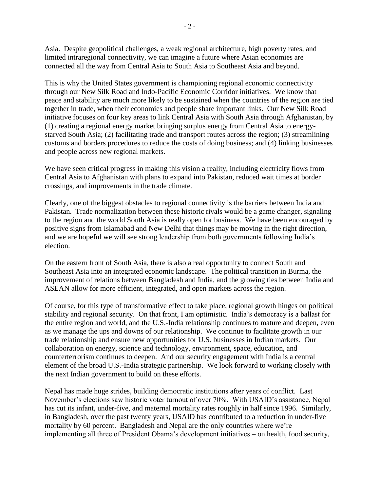Asia. Despite geopolitical challenges, a weak regional architecture, high poverty rates, and limited intraregional connectivity, we can imagine a future where Asian economies are connected all the way from Central Asia to South Asia to Southeast Asia and beyond.

This is why the United States government is championing regional economic connectivity through our New Silk Road and Indo-Pacific Economic Corridor initiatives. We know that peace and stability are much more likely to be sustained when the countries of the region are tied together in trade, when their economies and people share important links. Our New Silk Road initiative focuses on four key areas to link Central Asia with South Asia through Afghanistan, by (1) creating a regional energy market bringing surplus energy from Central Asia to energystarved South Asia; (2) facilitating trade and transport routes across the region; (3) streamlining customs and borders procedures to reduce the costs of doing business; and (4) linking businesses and people across new regional markets.

We have seen critical progress in making this vision a reality, including electricity flows from Central Asia to Afghanistan with plans to expand into Pakistan, reduced wait times at border crossings, and improvements in the trade climate.

Clearly, one of the biggest obstacles to regional connectivity is the barriers between India and Pakistan. Trade normalization between these historic rivals would be a game changer, signaling to the region and the world South Asia is really open for business. We have been encouraged by positive signs from Islamabad and New Delhi that things may be moving in the right direction, and we are hopeful we will see strong leadership from both governments following India's election.

On the eastern front of South Asia, there is also a real opportunity to connect South and Southeast Asia into an integrated economic landscape. The political transition in Burma, the improvement of relations between Bangladesh and India, and the growing ties between India and ASEAN allow for more efficient, integrated, and open markets across the region.

Of course, for this type of transformative effect to take place, regional growth hinges on political stability and regional security. On that front, I am optimistic. India's democracy is a ballast for the entire region and world, and the U.S.-India relationship continues to mature and deepen, even as we manage the ups and downs of our relationship. We continue to facilitate growth in our trade relationship and ensure new opportunities for U.S. businesses in Indian markets. Our collaboration on energy, science and technology, environment, space, education, and counterterrorism continues to deepen. And our security engagement with India is a central element of the broad U.S.-India strategic partnership. We look forward to working closely with the next Indian government to build on these efforts.

Nepal has made huge strides, building democratic institutions after years of conflict. Last November's elections saw historic voter turnout of over 70%. With USAID's assistance, Nepal has cut its infant, under-five, and maternal mortality rates roughly in half since 1996. Similarly, in Bangladesh, over the past twenty years, USAID has contributed to a reduction in under-five mortality by 60 percent. Bangladesh and Nepal are the only countries where we're implementing all three of President Obama's development initiatives – on health, food security,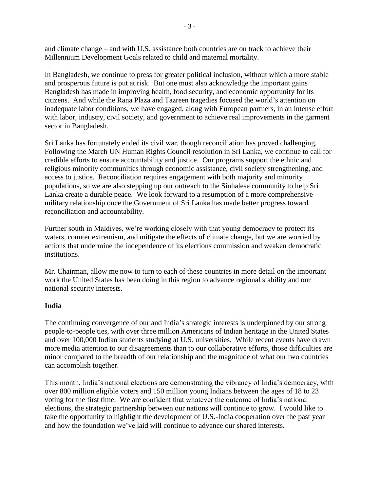and climate change – and with U.S. assistance both countries are on track to achieve their Millennium Development Goals related to child and maternal mortality.

In Bangladesh, we continue to press for greater political inclusion, without which a more stable and prosperous future is put at risk. But one must also acknowledge the important gains Bangladesh has made in improving health, food security, and economic opportunity for its citizens. And while the Rana Plaza and Tazreen tragedies focused the world's attention on inadequate labor conditions, we have engaged, along with European partners, in an intense effort with labor, industry, civil society, and government to achieve real improvements in the garment sector in Bangladesh.

Sri Lanka has fortunately ended its civil war, though reconciliation has proved challenging. Following the March UN Human Rights Council resolution in Sri Lanka, we continue to call for credible efforts to ensure accountability and justice. Our programs support the ethnic and religious minority communities through economic assistance, civil society strengthening, and access to justice. Reconciliation requires engagement with both majority and minority populations, so we are also stepping up our outreach to the Sinhalese community to help Sri Lanka create a durable peace. We look forward to a resumption of a more comprehensive military relationship once the Government of Sri Lanka has made better progress toward reconciliation and accountability.

Further south in Maldives, we're working closely with that young democracy to protect its waters, counter extremism, and mitigate the effects of climate change, but we are worried by actions that undermine the independence of its elections commission and weaken democratic institutions.

Mr. Chairman, allow me now to turn to each of these countries in more detail on the important work the United States has been doing in this region to advance regional stability and our national security interests.

### **India**

The continuing convergence of our and India's strategic interests is underpinned by our strong people-to-people ties, with over three million Americans of Indian heritage in the United States and over 100,000 Indian students studying at U.S. universities. While recent events have drawn more media attention to our disagreements than to our collaborative efforts, those difficulties are minor compared to the breadth of our relationship and the magnitude of what our two countries can accomplish together.

This month, India's national elections are demonstrating the vibrancy of India's democracy, with over 800 million eligible voters and 150 million young Indians between the ages of 18 to 23 voting for the first time. We are confident that whatever the outcome of India's national elections, the strategic partnership between our nations will continue to grow. I would like to take the opportunity to highlight the development of U.S.-India cooperation over the past year and how the foundation we've laid will continue to advance our shared interests.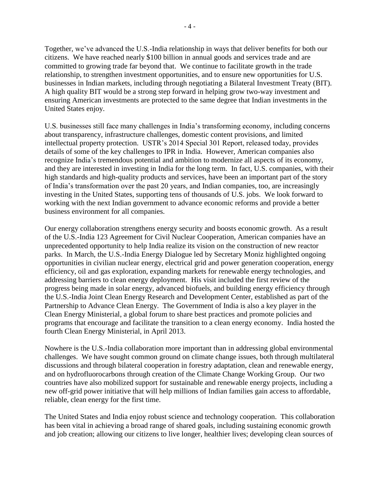Together, we've advanced the U.S.-India relationship in ways that deliver benefits for both our citizens. We have reached nearly \$100 billion in annual goods and services trade and are committed to growing trade far beyond that. We continue to facilitate growth in the trade relationship, to strengthen investment opportunities, and to ensure new opportunities for U.S. businesses in Indian markets, including through negotiating a Bilateral Investment Treaty (BIT). A high quality BIT would be a strong step forward in helping grow two-way investment and ensuring American investments are protected to the same degree that Indian investments in the United States enjoy.

U.S. businesses still face many challenges in India's transforming economy, including concerns about transparency, infrastructure challenges, domestic content provisions, and limited intellectual property protection. USTR's 2014 Special 301 Report, released today, provides details of some of the key challenges to IPR in India. However, American companies also recognize India's tremendous potential and ambition to modernize all aspects of its economy, and they are interested in investing in India for the long term. In fact, U.S. companies, with their high standards and high-quality products and services, have been an important part of the story of India's transformation over the past 20 years, and Indian companies, too, are increasingly investing in the United States, supporting tens of thousands of U.S. jobs. We look forward to working with the next Indian government to advance economic reforms and provide a better business environment for all companies.

Our energy collaboration strengthens energy security and boosts economic growth. As a result of the U.S.-India 123 Agreement for Civil Nuclear Cooperation, American companies have an unprecedented opportunity to help India realize its vision on the construction of new reactor parks. In March, the U.S.-India Energy Dialogue led by Secretary Moniz highlighted ongoing opportunities in civilian nuclear energy, electrical grid and power generation cooperation, energy efficiency, oil and gas exploration, expanding markets for renewable energy technologies, and addressing barriers to clean energy deployment. His visit included the first review of the progress being made in solar energy, advanced biofuels, and building energy efficiency through the U.S.-India Joint Clean Energy Research and Development Center, established as part of the Partnership to Advance Clean Energy. The Government of India is also a key player in the Clean Energy Ministerial, a global forum to share best practices and promote policies and programs that encourage and facilitate the transition to a clean energy economy. India hosted the fourth Clean Energy Ministerial, in April 2013.

Nowhere is the U.S.-India collaboration more important than in addressing global environmental challenges. We have sought common ground on climate change issues, both through multilateral discussions and through bilateral cooperation in forestry adaptation, clean and renewable energy, and on hydrofluorocarbons through creation of the Climate Change Working Group. Our two countries have also mobilized support for sustainable and renewable energy projects, including a new off-grid power initiative that will help millions of Indian families gain access to affordable, reliable, clean energy for the first time.

The United States and India enjoy robust science and technology cooperation. This collaboration has been vital in achieving a broad range of shared goals, including sustaining economic growth and job creation; allowing our citizens to live longer, healthier lives; developing clean sources of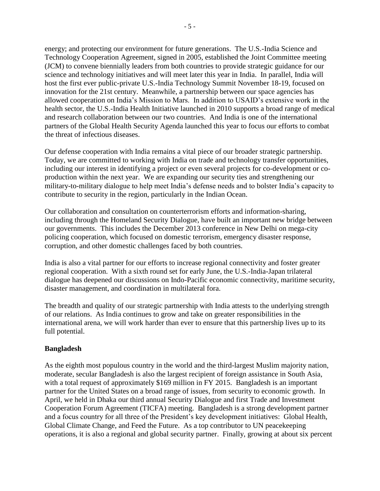energy; and protecting our environment for future generations. The U.S.-India Science and Technology Cooperation Agreement, signed in 2005, established the Joint Committee meeting (JCM) to convene biennially leaders from both countries to provide strategic guidance for our science and technology initiatives and will meet later this year in India. In parallel, India will host the first ever public-private U.S.-India Technology Summit November 18-19, focused on innovation for the 21st century. Meanwhile, a partnership between our space agencies has allowed cooperation on India's Mission to Mars. In addition to USAID's extensive work in the health sector, the U.S.-India Health Initiative launched in 2010 supports a broad range of medical and research collaboration between our two countries. And India is one of the international partners of the Global Health Security Agenda launched this year to focus our efforts to combat the threat of infectious diseases.

Our defense cooperation with India remains a vital piece of our broader strategic partnership. Today, we are committed to working with India on trade and technology transfer opportunities, including our interest in identifying a project or even several projects for co-development or coproduction within the next year. We are expanding our security ties and strengthening our military-to-military dialogue to help meet India's defense needs and to bolster India's capacity to contribute to security in the region, particularly in the Indian Ocean.

Our collaboration and consultation on counterterrorism efforts and information-sharing, including through the Homeland Security Dialogue, have built an important new bridge between our governments.This includes the December 2013 conference in New Delhi on mega-city policing cooperation, which focused on domestic terrorism, emergency disaster response, corruption, and other domestic challenges faced by both countries.

India is also a vital partner for our efforts to increase regional connectivity and foster greater regional cooperation. With a sixth round set for early June, the U.S.-India-Japan trilateral dialogue has deepened our discussions on Indo-Pacific economic connectivity, maritime security, disaster management, and coordination in multilateral fora.

The breadth and quality of our strategic partnership with India attests to the underlying strength of our relations. As India continues to grow and take on greater responsibilities in the international arena, we will work harder than ever to ensure that this partnership lives up to its full potential.

### **Bangladesh**

As the eighth most populous country in the world and the third-largest Muslim majority nation, moderate, secular Bangladesh is also the largest recipient of foreign assistance in South Asia, with a total request of approximately \$169 million in FY 2015. Bangladesh is an important partner for the United States on a broad range of issues, from security to economic growth. In April, we held in Dhaka our third annual Security Dialogue and first Trade and Investment Cooperation Forum Agreement (TICFA) meeting. Bangladesh is a strong development partner and a focus country for all three of the President's key development initiatives: Global Health, Global Climate Change, and Feed the Future. As a top contributor to UN peacekeeping operations, it is also a regional and global security partner. Finally, growing at about six percent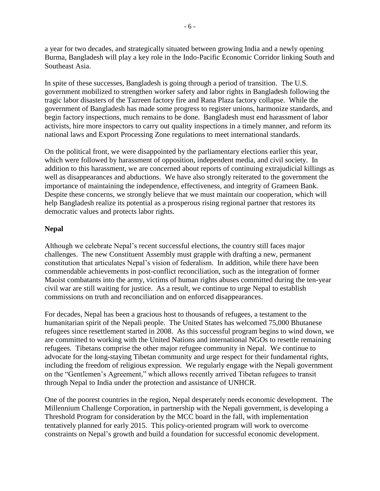a year for two decades, and strategically situated between growing India and a newly opening Burma, Bangladesh will play a key role in the Indo-Pacific Economic Corridor linking South and Southeast Asia.

In spite of these successes, Bangladesh is going through a period of transition. The U.S. government mobilized to strengthen worker safety and labor rights in Bangladesh following the tragic labor disasters of the Tazreen factory fire and Rana Plaza factory collapse. While the government of Bangladesh has made some progress to register unions, harmonize standards, and begin factory inspections, much remains to be done. Bangladesh must end harassment of labor activists, hire more inspectors to carry out quality inspections in a timely manner, and reform its national laws and Export Processing Zone regulations to meet international standards.

On the political front, we were disappointed by the parliamentary elections earlier this year, which were followed by harassment of opposition, independent media, and civil society. In addition to this harassment, we are concerned about reports of continuing extrajudicial killings as well as disappearances and abductions. We have also strongly reiterated to the government the importance of maintaining the independence, effectiveness, and integrity of Grameen Bank. Despite these concerns, we strongly believe that we must maintain our cooperation, which will help Bangladesh realize its potential as a prosperous rising regional partner that restores its democratic values and protects labor rights.

# **Nepal**

Although we celebrate Nepal's recent successful elections, the country still faces major challenges. The new Constituent Assembly must grapple with drafting a new, permanent constitution that articulates Nepal's vision of federalism. In addition, while there have been commendable achievements in post-conflict reconciliation, such as the integration of former Maoist combatants into the army, victims of human rights abuses committed during the ten-year civil war are still waiting for justice. As a result, we continue to urge Nepal to establish commissions on truth and reconciliation and on enforced disappearances.

For decades, Nepal has been a gracious host to thousands of refugees, a testament to the humanitarian spirit of the Nepali people. The United States has welcomed 75,000 Bhutanese refugees since resettlement started in 2008. As this successful program begins to wind down, we are committed to working with the United Nations and international NGOs to resettle remaining refugees. Tibetans comprise the other major refugee community in Nepal. We continue to advocate for the long-staying Tibetan community and urge respect for their fundamental rights, including the freedom of religious expression. We regularly engage with the Nepali government on the "Gentlemen's Agreement," which allows recently arrived Tibetan refugees to transit through Nepal to India under the protection and assistance of UNHCR.

One of the poorest countries in the region, Nepal desperately needs economic development. The Millennium Challenge Corporation, in partnership with the Nepali government, is developing a Threshold Program for consideration by the MCC board in the fall, with implementation tentatively planned for early 2015. This policy-oriented program will work to overcome constraints on Nepal's growth and build a foundation for successful economic development.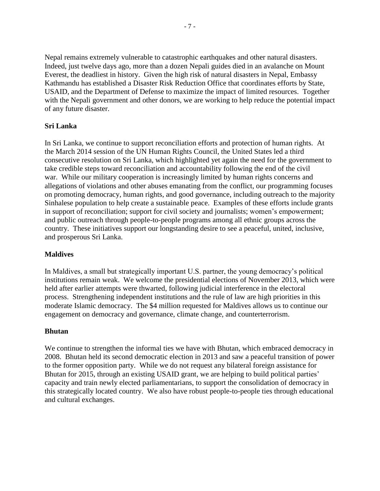Nepal remains extremely vulnerable to catastrophic earthquakes and other natural disasters. Indeed, just twelve days ago, more than a dozen Nepali guides died in an avalanche on Mount Everest, the deadliest in history. Given the high risk of natural disasters in Nepal, Embassy Kathmandu has established a Disaster Risk Reduction Office that coordinates efforts by State, USAID, and the Department of Defense to maximize the impact of limited resources. Together with the Nepali government and other donors, we are working to help reduce the potential impact of any future disaster.

# **Sri Lanka**

In Sri Lanka, we continue to support reconciliation efforts and protection of human rights. At the March 2014 session of the UN Human Rights Council, the United States led a third consecutive resolution on Sri Lanka, which highlighted yet again the need for the government to take credible steps toward reconciliation and accountability following the end of the civil war. While our military cooperation is increasingly limited by human rights concerns and allegations of violations and other abuses emanating from the conflict, our programming focuses on promoting democracy, human rights, and good governance, including outreach to the majority Sinhalese population to help create a sustainable peace. Examples of these efforts include grants in support of reconciliation; support for civil society and journalists; women's empowerment; and public outreach through people-to-people programs among all ethnic groups across the country. These initiatives support our longstanding desire to see a peaceful, united, inclusive, and prosperous Sri Lanka.

# **Maldives**

In Maldives, a small but strategically important U.S. partner, the young democracy's political institutions remain weak. We welcome the presidential elections of November 2013, which were held after earlier attempts were thwarted, following judicial interference in the electoral process. Strengthening independent institutions and the rule of law are high priorities in this moderate Islamic democracy. The \$4 million requested for Maldives allows us to continue our engagement on democracy and governance, climate change, and counterterrorism.

# **Bhutan**

We continue to strengthen the informal ties we have with Bhutan, which embraced democracy in 2008. Bhutan held its second democratic election in 2013 and saw a peaceful transition of power to the former opposition party. While we do not request any bilateral foreign assistance for Bhutan for 2015, through an existing USAID grant, we are helping to build political parties' capacity and train newly elected parliamentarians, to support the consolidation of democracy in this strategically located country. We also have robust people-to-people ties through educational and cultural exchanges.